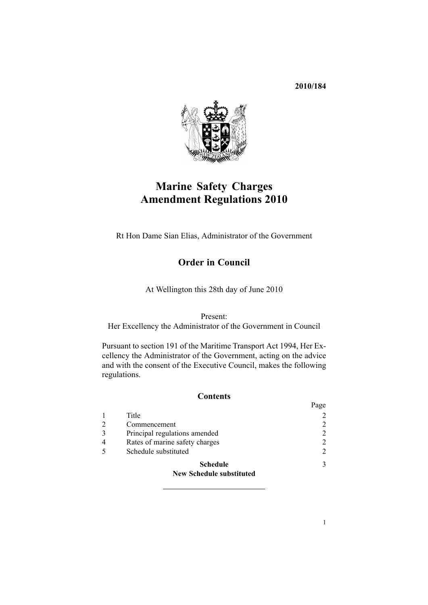**2010/184**



# **Marine Safety Charges Amendment Regulations 2010**

Rt Hon Dame Sian Elias, Administrator of the Government

### **Order in Council**

At Wellington this 28th day of June 2010

Present:

Her Excellency the Administrator of the Government in Council

Pursuant to [section](http://www.legislation.govt.nz/pdflink.aspx?id=DLM336772) 191 of the Maritime Transport Act 1994, Her Excellency the Administrator of the Government, acting on the advice and with the consent of the Executive Council, makes the following regulations.

### **Contents**

|                                 | Page          |
|---------------------------------|---------------|
| Title                           |               |
| Commencement                    | 2             |
| Principal regulations amended   | 2             |
| Rates of marine safety charges  | 2             |
| Schedule substituted            | 2             |
| <b>Schedule</b>                 | $\mathcal{F}$ |
| <b>New Schedule substituted</b> |               |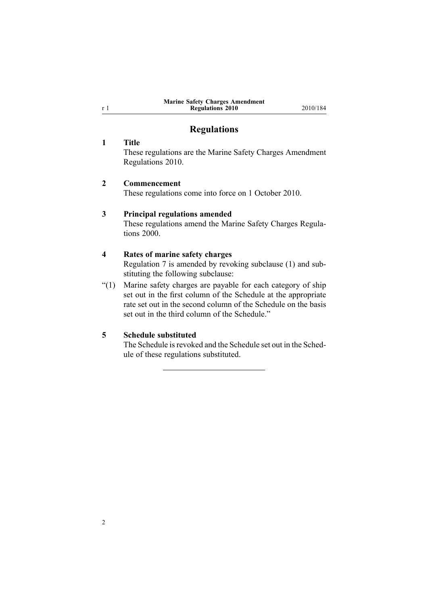#### **Marine Safety Charges Amendment Regulations 2010** 2010/184

### **Regulations**

#### **1 Title**

<span id="page-1-0"></span><sup>r</sup> 1

These regulations are the Marine Safety Charges Amendment Regulations 2010.

#### **2 Commencement**

These regulations come into force on 1 October 2010.

#### **3 Principal regulations amended**

These regulations amend the Marine Safety [Charges](http://www.legislation.govt.nz/pdflink.aspx?id=DLM15809) Regulations [2000](http://www.legislation.govt.nz/pdflink.aspx?id=DLM15809).

#### **4 Rates of marine safety charges**

[Regulation](http://www.legislation.govt.nz/pdflink.aspx?id=DLM15846) 7 is amended by revoking subclause (1) and substituting the following subclause:

"(1) Marine safety charges are payable for each category of ship set out in the first column of the Schedule at the appropriate rate set out in the second column of the Schedule on the basis set out in the third column of the Schedule."

### **5 Schedule substituted**

The [Schedule](http://www.legislation.govt.nz/pdflink.aspx?id=DLM1757012) isrevoked and the Schedule set out in the [Sched](#page-2-0)[ule](#page-2-0) of these regulations substituted.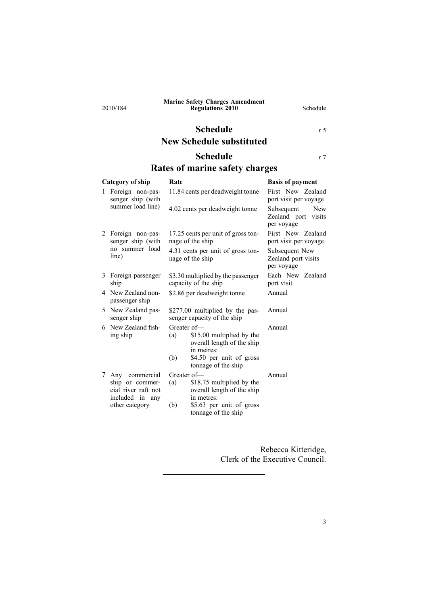<span id="page-2-0"></span>2010/184

#### **Marine Safety Charges Amendment Regulations 2010** Schedule

### **Schedule** r [5](#page-1-0) **New Schedule substituted**

## **Schedule** r 7

## **Rates of marine safety charges**

| Category of ship |                                                                                               | Rate                                                                                                                                                  | <b>Basis of payment</b>                                |  |
|------------------|-----------------------------------------------------------------------------------------------|-------------------------------------------------------------------------------------------------------------------------------------------------------|--------------------------------------------------------|--|
|                  | Foreign non-pas-<br>senger ship (with<br>summer load line)                                    | 11.84 cents per deadweight tonne                                                                                                                      | First New Zealand<br>port visit per voyage             |  |
|                  |                                                                                               | 4.02 cents per deadweight tonne                                                                                                                       | Subsequent<br>New<br>Zealand port visits<br>per voyage |  |
|                  | 2 Foreign non-pas-<br>senger ship (with<br>no summer load<br>line)                            | 17.25 cents per unit of gross ton-<br>nage of the ship                                                                                                | First New Zealand<br>port visit per voyage             |  |
|                  |                                                                                               | 4.31 cents per unit of gross ton-<br>nage of the ship                                                                                                 | Subsequent New<br>Zealand port visits<br>per voyage    |  |
| 3                | Foreign passenger<br>ship                                                                     | \$3.30 multiplied by the passenger<br>capacity of the ship                                                                                            | Each New Zealand<br>port visit                         |  |
|                  | 4 New Zealand non-<br>passenger ship                                                          | \$2.86 per deadweight tonne                                                                                                                           | Annual                                                 |  |
| 5.               | New Zealand pas-<br>senger ship                                                               | \$277.00 multiplied by the pas-<br>senger capacity of the ship                                                                                        | Annual                                                 |  |
|                  | 6 New Zealand fish-<br>ing ship                                                               | Greater of-<br>\$15.00 multiplied by the<br>(a)<br>overall length of the ship<br>in metres:<br>\$4.50 per unit of gross<br>(b)<br>tonnage of the ship | Annual                                                 |  |
| 7                | Any commercial<br>ship or commer-<br>cial river raft not<br>included in any<br>other category | Greater of-<br>\$18.75 multiplied by the<br>(a)<br>overall length of the ship<br>in metres:<br>\$5.63 per unit of gross<br>(b)<br>tonnage of the ship | Annual                                                 |  |
|                  |                                                                                               |                                                                                                                                                       |                                                        |  |

Rebecca Kitteridge, Clerk of the Executive Council.